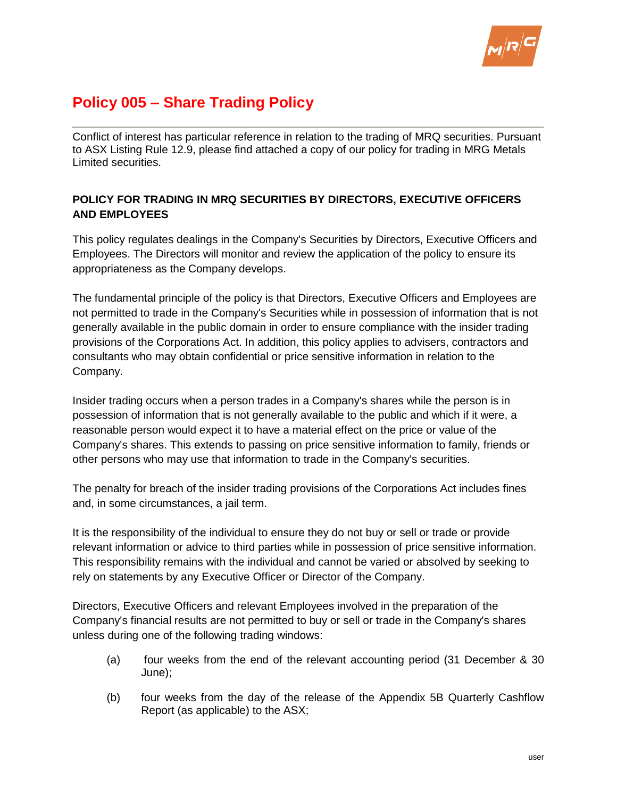

# **Policy 005 – Share Trading Policy**

Conflict of interest has particular reference in relation to the trading of MRQ securities. Pursuant to ASX Listing Rule 12.9, please find attached a copy of our policy for trading in MRG Metals Limited securities.

# **POLICY FOR TRADING IN MRQ SECURITIES BY DIRECTORS, EXECUTIVE OFFICERS AND EMPLOYEES**

This policy regulates dealings in the Company's Securities by Directors, Executive Officers and Employees. The Directors will monitor and review the application of the policy to ensure its appropriateness as the Company develops.

The fundamental principle of the policy is that Directors, Executive Officers and Employees are not permitted to trade in the Company's Securities while in possession of information that is not generally available in the public domain in order to ensure compliance with the insider trading provisions of the Corporations Act. In addition, this policy applies to advisers, contractors and consultants who may obtain confidential or price sensitive information in relation to the Company.

Insider trading occurs when a person trades in a Company's shares while the person is in possession of information that is not generally available to the public and which if it were, a reasonable person would expect it to have a material effect on the price or value of the Company's shares. This extends to passing on price sensitive information to family, friends or other persons who may use that information to trade in the Company's securities.

The penalty for breach of the insider trading provisions of the Corporations Act includes fines and, in some circumstances, a jail term.

It is the responsibility of the individual to ensure they do not buy or sell or trade or provide relevant information or advice to third parties while in possession of price sensitive information. This responsibility remains with the individual and cannot be varied or absolved by seeking to rely on statements by any Executive Officer or Director of the Company.

Directors, Executive Officers and relevant Employees involved in the preparation of the Company's financial results are not permitted to buy or sell or trade in the Company's shares unless during one of the following trading windows:

- (a) four weeks from the end of the relevant accounting period (31 December & 30 June);
- (b) four weeks from the day of the release of the Appendix 5B Quarterly Cashflow Report (as applicable) to the ASX;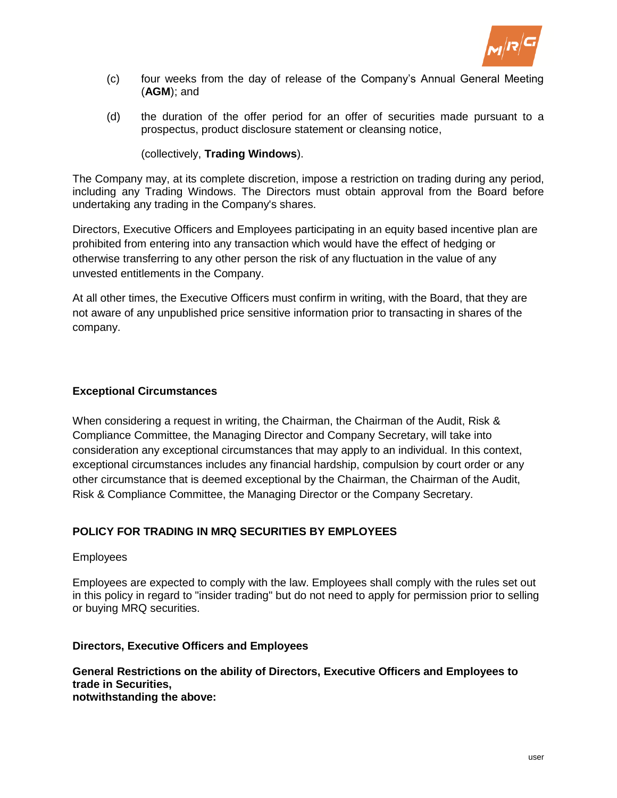

- (c) four weeks from the day of release of the Company's Annual General Meeting (**AGM**); and
- (d) the duration of the offer period for an offer of securities made pursuant to a prospectus, product disclosure statement or cleansing notice,

# (collectively, **Trading Windows**).

The Company may, at its complete discretion, impose a restriction on trading during any period, including any Trading Windows. The Directors must obtain approval from the Board before undertaking any trading in the Company's shares.

Directors, Executive Officers and Employees participating in an equity based incentive plan are prohibited from entering into any transaction which would have the effect of hedging or otherwise transferring to any other person the risk of any fluctuation in the value of any unvested entitlements in the Company.

At all other times, the Executive Officers must confirm in writing, with the Board, that they are not aware of any unpublished price sensitive information prior to transacting in shares of the company.

## **Exceptional Circumstances**

When considering a request in writing, the Chairman, the Chairman of the Audit, Risk & Compliance Committee, the Managing Director and Company Secretary, will take into consideration any exceptional circumstances that may apply to an individual. In this context, exceptional circumstances includes any financial hardship, compulsion by court order or any other circumstance that is deemed exceptional by the Chairman, the Chairman of the Audit, Risk & Compliance Committee, the Managing Director or the Company Secretary.

# **POLICY FOR TRADING IN MRQ SECURITIES BY EMPLOYEES**

#### Employees

Employees are expected to comply with the law. Employees shall comply with the rules set out in this policy in regard to "insider trading" but do not need to apply for permission prior to selling or buying MRQ securities.

#### **Directors, Executive Officers and Employees**

# **General Restrictions on the ability of Directors, Executive Officers and Employees to trade in Securities,**

**notwithstanding the above:**